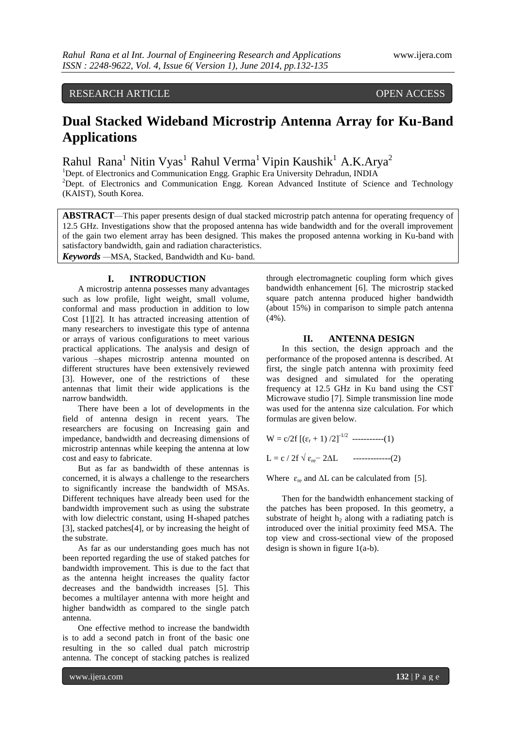## RESEARCH ARTICLE OPEN ACCESS

# **Dual Stacked Wideband Microstrip Antenna Array for Ku-Band Applications**

Rahul Rana<sup>1</sup> Nitin Vyas<sup>1</sup> Rahul Verma<sup>1</sup> Vipin Kaushik<sup>1</sup> A.K.Arya<sup>2</sup>

<sup>1</sup>Dept. of Electronics and Communication Engg. Graphic Era University Dehradun, INDIA <sup>2</sup>Dept. of Electronics and Communication Engg. Korean Advanced Institute of Science and Technology (KAIST), South Korea.

**ABSTRACT**—This paper presents design of dual stacked microstrip patch antenna for operating frequency of 12.5 GHz. Investigations show that the proposed antenna has wide bandwidth and for the overall improvement of the gain two element array has been designed. This makes the proposed antenna working in Ku-band with satisfactory bandwidth, gain and radiation characteristics.

*Keywords —*MSA, Stacked, Bandwidth and Ku- band.

### **I. INTRODUCTION**

A microstrip antenna possesses many advantages such as low profile, light weight, small volume, conformal and mass production in addition to low Cost [1][2]. It has attracted increasing attention of many researchers to investigate this type of antenna or arrays of various configurations to meet various practical applications. The analysis and design of various –shapes microstrip antenna mounted on different structures have been extensively reviewed [3]. However, one of the restrictions of these antennas that limit their wide applications is the narrow bandwidth.

There have been a lot of developments in the field of antenna design in recent years. The researchers are focusing on Increasing gain and impedance, bandwidth and decreasing dimensions of microstrip antennas while keeping the antenna at low cost and easy to fabricate.

But as far as bandwidth of these antennas is concerned, it is always a challenge to the researchers to significantly increase the bandwidth of MSAs. Different techniques have already been used for the bandwidth improvement such as using the substrate with low dielectric constant, using H-shaped patches [3], stacked patches[4], or by increasing the height of the substrate.

As far as our understanding goes much has not been reported regarding the use of staked patches for bandwidth improvement. This is due to the fact that as the antenna height increases the quality factor decreases and the bandwidth increases [5]. This becomes a multilayer antenna with more height and higher bandwidth as compared to the single patch antenna.

One effective method to increase the bandwidth is to add a second patch in front of the basic one resulting in the so called dual patch microstrip antenna. The concept of stacking patches is realized

through electromagnetic coupling form which gives bandwidth enhancement [6]. The microstrip stacked square patch antenna produced higher bandwidth (about 15%) in comparison to simple patch antenna (4%).

#### **II. ANTENNA DESIGN**

In this section, the design approach and the performance of the proposed antenna is described. At first, the single patch antenna with proximity feed was designed and simulated for the operating frequency at 12.5 GHz in Ku band using the CST Microwave studio [7]. Simple transmission line mode was used for the antenna size calculation. For which formulas are given below.

$$
W = c/2f [(\varepsilon_r + 1)/2]^{-1/2}
$$
........(1)  

$$
L = c / 2f \sqrt{\varepsilon_{re} - 2\Delta L}
$$
........(2)

Where  $\varepsilon_{\rm re}$  and  $\Delta L$  can be calculated from [5].

Then for the bandwidth enhancement stacking of the patches has been proposed. In this geometry, a substrate of height  $h<sub>2</sub>$  along with a radiating patch is introduced over the initial proximity feed MSA. The top view and cross-sectional view of the proposed design is shown in figure 1(a-b).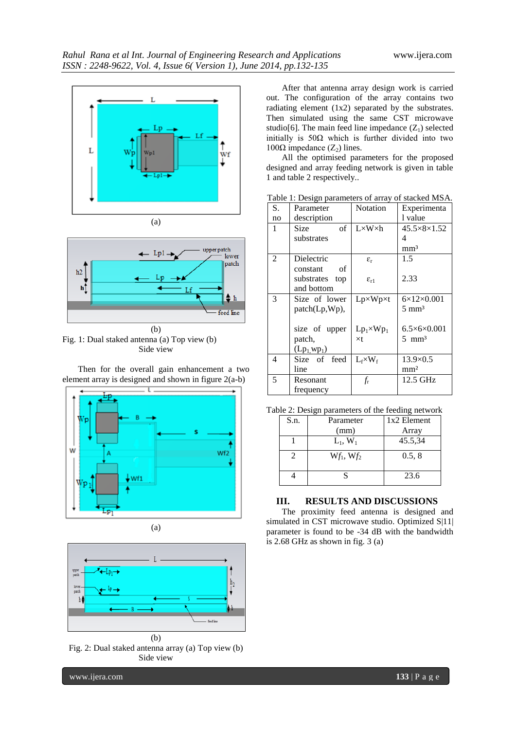



Fig. 1: Dual staked antenna (a) Top view (b) Side view

Then for the overall gain enhancement a two element array is designed and shown in figure 2(a-b)





Fig. 2: Dual staked antenna array (a) Top view (b) Side view

After that antenna array design work is carried out. The configuration of the array contains two radiating element (1x2) separated by the substrates. Then simulated using the same CST microwave studio[6]. The main feed line impedance  $(Z_1)$  selected initially is  $50\Omega$  which is further divided into two  $100Ω$  impedance  $(Z<sub>2</sub>)$  lines.

All the optimised parameters for the proposed designed and array feeding network is given in table 1 and table 2 respectively..

Table 1: Design parameters of array of stacked MSA.

| S. | Parameter      | Notation              | Experimenta                 |
|----|----------------|-----------------------|-----------------------------|
| no | description    |                       | 1 value                     |
| 1  | of<br>Size     | $L \times W \times h$ | $45.5 \times 8 \times 1.52$ |
|    | substrates     |                       | 4                           |
|    |                |                       | mm <sup>3</sup>             |
| 2  | Dielectric     | $\varepsilon_{\rm r}$ | 1.5                         |
|    | constant<br>of |                       |                             |
|    | substrates top | $\varepsilon_{r1}$    | 2.33                        |
|    | and bottom     |                       |                             |
| 3  | Size of lower  | $Lp\times Wp\times t$ | $6\times12\times0.001$      |
|    | patch(Lp,Wp),  |                       | $5 \text{ mm}^3$            |
|    |                |                       |                             |
|    | size of upper  | $Lp_1\times Wp_1$     | $6.5\times6\times0.001$     |
|    | patch,         | $\times t$            | $5 \text{ mm}^3$            |
|    | $(Lp_1wp_1)$   |                       |                             |
| 4  | Size of feed   | $L_f \times W_f$      | $13.9\times 0.5$            |
|    | line           |                       | mm <sup>2</sup>             |
| 5  | Resonant       | $f_{\rm r}$           | 12.5 GHz                    |
|    | frequency      |                       |                             |

Table 2: Design parameters of the feeding network

| S.n. | Parameter    | 1x2 Element |
|------|--------------|-------------|
|      | (mm)         | Array       |
|      | $L_1, W_1$   | 45.5,34     |
|      | $Wf_1, Wf_2$ | 0.5, 8      |
|      |              | 23.6        |

#### **III. RESULTS AND DISCUSSIONS**

The proximity feed antenna is designed and simulated in CST microwave studio. Optimized S|11| parameter is found to be -34 dB with the bandwidth is 2.68 GHz as shown in fig. 3 (a)

www.ijera.com **133** | P a g e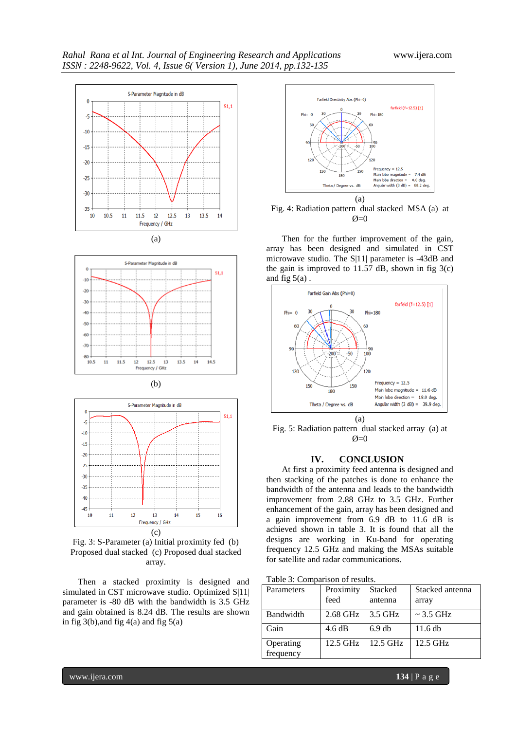









Then a stacked proximity is designed and simulated in CST microwave studio. Optimized S|11| parameter is -80 dB with the bandwidth is 3.5 GHz and gain obtained is 8.24 dB. The results are shown in fig  $3(b)$ , and fig  $4(a)$  and fig  $5(a)$ 





Then for the further improvement of the gain, array has been designed and simulated in CST microwave studio. The S|11| parameter is -43dB and the gain is improved to 11.57 dB, shown in fig  $3(c)$ and fig  $5(a)$ .



Fig. 5: Radiation pattern dual stacked array (a) at  $\alpha$ =0

#### **IV. CONCLUSION**

At first a proximity feed antenna is designed and then stacking of the patches is done to enhance the bandwidth of the antenna and leads to the bandwidth improvement from 2.88 GHz to 3.5 GHz. Further enhancement of the gain, array has been designed and a gain improvement from 6.9 dB to 11.6 dB is achieved shown in table 3. It is found that all the designs are working in Ku-band for operating frequency 12.5 GHz and making the MSAs suitable for satellite and radar communications.

|  |  | Table 3: Comparison of results. |
|--|--|---------------------------------|
|  |  |                                 |

| Parameters             | Proximity<br>feed | Stacked<br>antenna | Stacked antenna<br>array |
|------------------------|-------------------|--------------------|--------------------------|
| Bandwidth              | 2.68 GHz          | 3.5 GHz            | $\sim$ 3.5 GHz           |
| Gain                   | 4.6 dB            | $6.9$ db           | $11.6$ db                |
| Operating<br>frequency | 12.5 GHz          | 12.5 GHz           | $12.5$ GHz               |